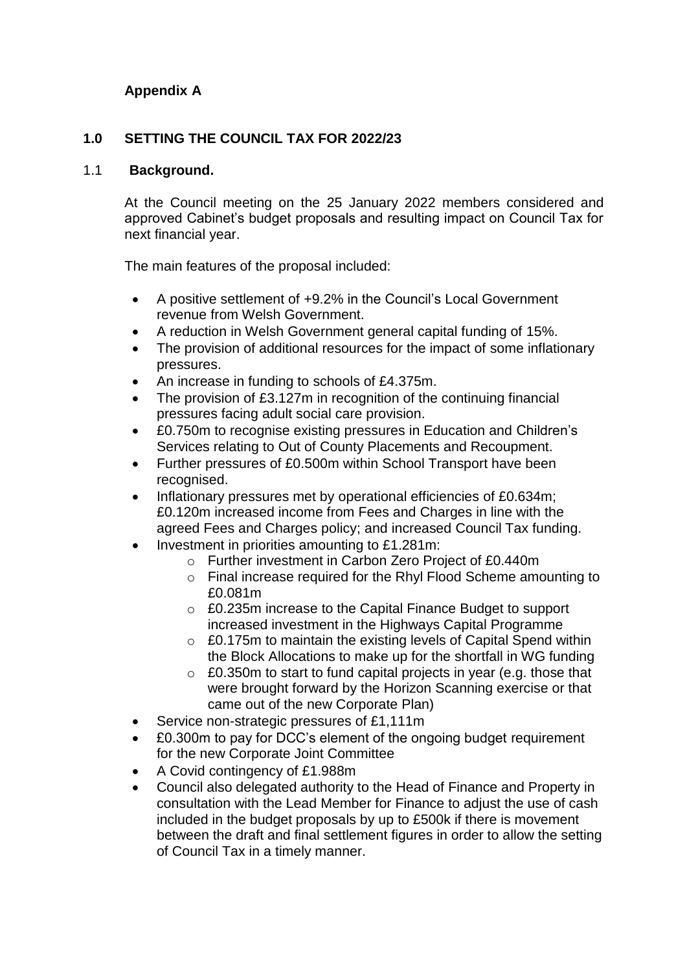# **Appendix A**

# **1.0 SETTING THE COUNCIL TAX FOR 2022/23**

#### 1.1 **Background.**

At the Council meeting on the 25 January 2022 members considered and approved Cabinet's budget proposals and resulting impact on Council Tax for next financial year.

The main features of the proposal included:

- A positive settlement of +9.2% in the Council's Local Government revenue from Welsh Government.
- A reduction in Welsh Government general capital funding of 15%.
- The provision of additional resources for the impact of some inflationary pressures.
- An increase in funding to schools of £4.375m.
- The provision of £3.127m in recognition of the continuing financial pressures facing adult social care provision.
- £0.750m to recognise existing pressures in Education and Children's Services relating to Out of County Placements and Recoupment.
- Further pressures of £0.500m within School Transport have been recognised.
- Inflationary pressures met by operational efficiencies of £0.634m; £0.120m increased income from Fees and Charges in line with the agreed Fees and Charges policy; and increased Council Tax funding.
- Investment in priorities amounting to £1.281m:
	- o Further investment in Carbon Zero Project of £0.440m
		- o Final increase required for the Rhyl Flood Scheme amounting to £0.081m
		- o £0.235m increase to the Capital Finance Budget to support increased investment in the Highways Capital Programme
		- o £0.175m to maintain the existing levels of Capital Spend within the Block Allocations to make up for the shortfall in WG funding
		- $\circ$  £0.350m to start to fund capital projects in year (e.g. those that were brought forward by the Horizon Scanning exercise or that came out of the new Corporate Plan)
- Service non-strategic pressures of £1,111m
- £0.300m to pay for DCC's element of the ongoing budget requirement for the new Corporate Joint Committee
- A Covid contingency of £1.988m
- Council also delegated authority to the Head of Finance and Property in consultation with the Lead Member for Finance to adjust the use of cash included in the budget proposals by up to £500k if there is movement between the draft and final settlement figures in order to allow the setting of Council Tax in a timely manner.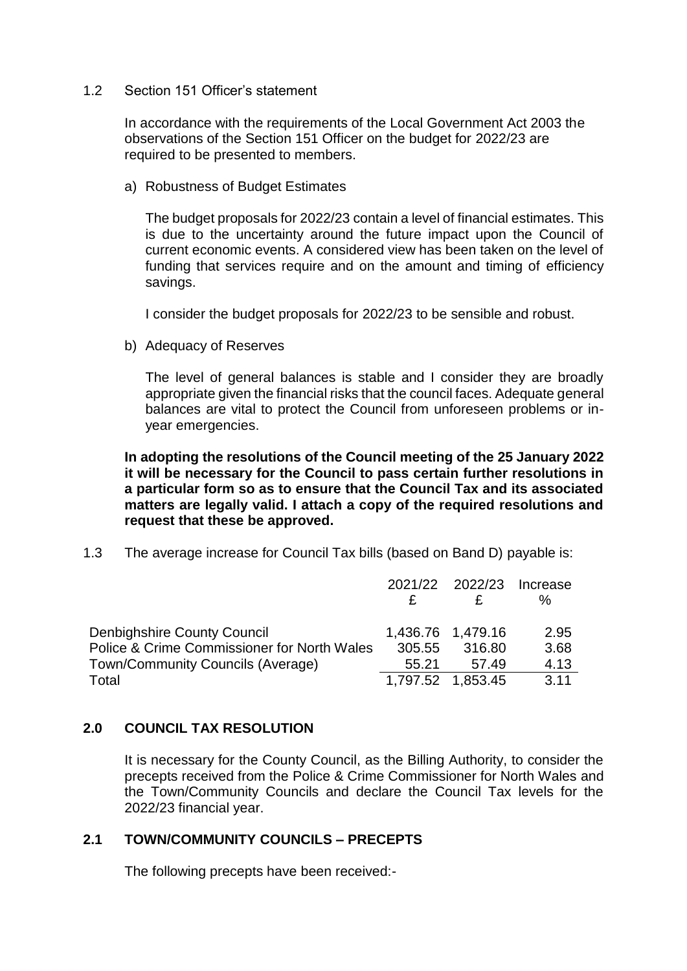#### 1.2 Section 151 Officer's statement

In accordance with the requirements of the Local Government Act 2003 the observations of the Section 151 Officer on the budget for 2022/23 are required to be presented to members.

a) Robustness of Budget Estimates

The budget proposals for 2022/23 contain a level of financial estimates. This is due to the uncertainty around the future impact upon the Council of current economic events. A considered view has been taken on the level of funding that services require and on the amount and timing of efficiency savings.

I consider the budget proposals for 2022/23 to be sensible and robust.

b) Adequacy of Reserves

The level of general balances is stable and I consider they are broadly appropriate given the financial risks that the council faces. Adequate general balances are vital to protect the Council from unforeseen problems or inyear emergencies.

**In adopting the resolutions of the Council meeting of the 25 January 2022 it will be necessary for the Council to pass certain further resolutions in a particular form so as to ensure that the Council Tax and its associated matters are legally valid. I attach a copy of the required resolutions and request that these be approved.**

1.3 The average increase for Council Tax bills (based on Band D) payable is:

|                                                                                  | 2021/22 2022/23<br>£ |                 | Increase<br>℅ |
|----------------------------------------------------------------------------------|----------------------|-----------------|---------------|
| <b>Denbighshire County Council</b>                                               | 1,436.76 1,479.16    |                 | 2.95          |
| Police & Crime Commissioner for North Wales<br>Town/Community Councils (Average) | 305.55<br>55.21      | 316.80<br>57.49 | 3.68<br>4.13  |
| Total                                                                            | 1,797.52 1,853.45    |                 | 3.11          |

# **2.0 COUNCIL TAX RESOLUTION**

It is necessary for the County Council, as the Billing Authority, to consider the precepts received from the Police & Crime Commissioner for North Wales and the Town/Community Councils and declare the Council Tax levels for the 2022/23 financial year.

# **2.1 TOWN/COMMUNITY COUNCILS – PRECEPTS**

The following precepts have been received:-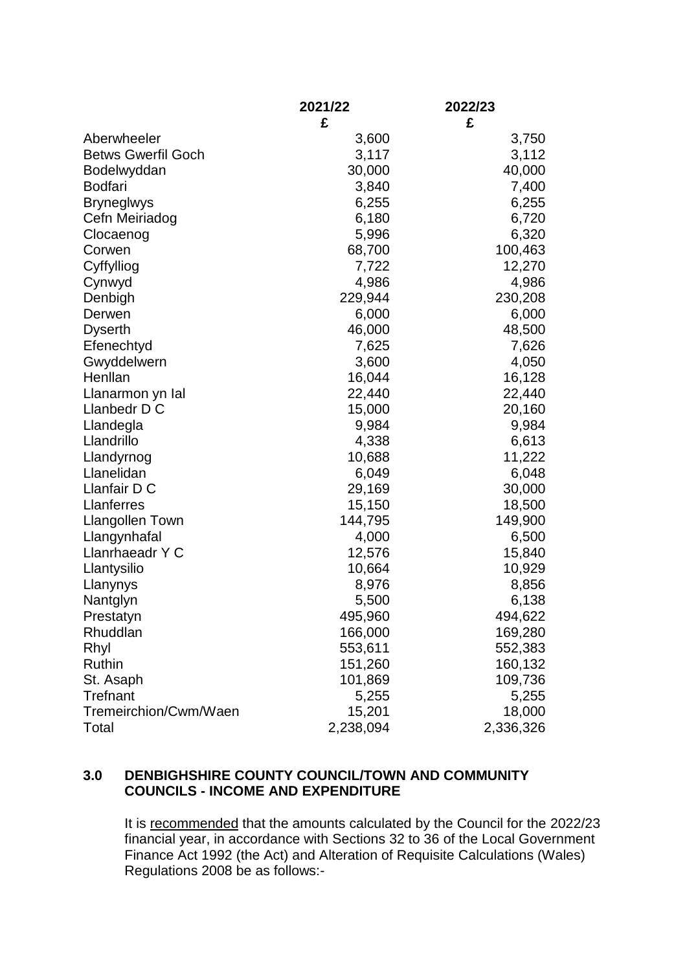|                           | 2021/22   | 2022/23   |
|---------------------------|-----------|-----------|
|                           | £         | £         |
| Aberwheeler               | 3,600     | 3,750     |
| <b>Betws Gwerfil Goch</b> | 3,117     | 3,112     |
| Bodelwyddan               | 30,000    | 40,000    |
| <b>Bodfari</b>            | 3,840     | 7,400     |
| <b>Bryneglwys</b>         | 6,255     | 6,255     |
| Cefn Meiriadog            | 6,180     | 6,720     |
| Clocaenog                 | 5,996     | 6,320     |
| Corwen                    | 68,700    | 100,463   |
| Cyffylliog                | 7,722     | 12,270    |
| Cynwyd                    | 4,986     | 4,986     |
| Denbigh                   | 229,944   | 230,208   |
| Derwen                    | 6,000     | 6,000     |
| <b>Dyserth</b>            | 46,000    | 48,500    |
| Efenechtyd                | 7,625     | 7,626     |
| Gwyddelwern               | 3,600     | 4,050     |
| Henllan                   | 16,044    | 16,128    |
| Llanarmon yn Ial          | 22,440    | 22,440    |
| Llanbedr D C              | 15,000    | 20,160    |
| Llandegla                 | 9,984     | 9,984     |
| Llandrillo                | 4,338     | 6,613     |
| Llandyrnog                | 10,688    | 11,222    |
| Llanelidan                | 6,049     | 6,048     |
| Llanfair D C              | 29,169    | 30,000    |
| Llanferres                | 15,150    | 18,500    |
| <b>Llangollen Town</b>    | 144,795   | 149,900   |
| Llangynhafal              | 4,000     | 6,500     |
| Llanrhaeadr Y C           | 12,576    | 15,840    |
| Llantysilio               | 10,664    | 10,929    |
| Llanynys                  | 8,976     | 8,856     |
| Nantglyn                  | 5,500     | 6,138     |
| Prestatyn                 | 495,960   | 494,622   |
| Rhuddlan                  | 166,000   | 169,280   |
| Rhyl                      | 553,611   | 552,383   |
| Ruthin                    | 151,260   | 160,132   |
| St. Asaph                 | 101,869   | 109,736   |
| <b>Trefnant</b>           | 5,255     | 5,255     |
| Tremeirchion/Cwm/Waen     | 15,201    | 18,000    |
| Total                     | 2,238,094 | 2,336,326 |

## **3.0 DENBIGHSHIRE COUNTY COUNCIL/TOWN AND COMMUNITY COUNCILS - INCOME AND EXPENDITURE**

It is recommended that the amounts calculated by the Council for the 2022/23 financial year, in accordance with Sections 32 to 36 of the Local Government Finance Act 1992 (the Act) and Alteration of Requisite Calculations (Wales) Regulations 2008 be as follows:-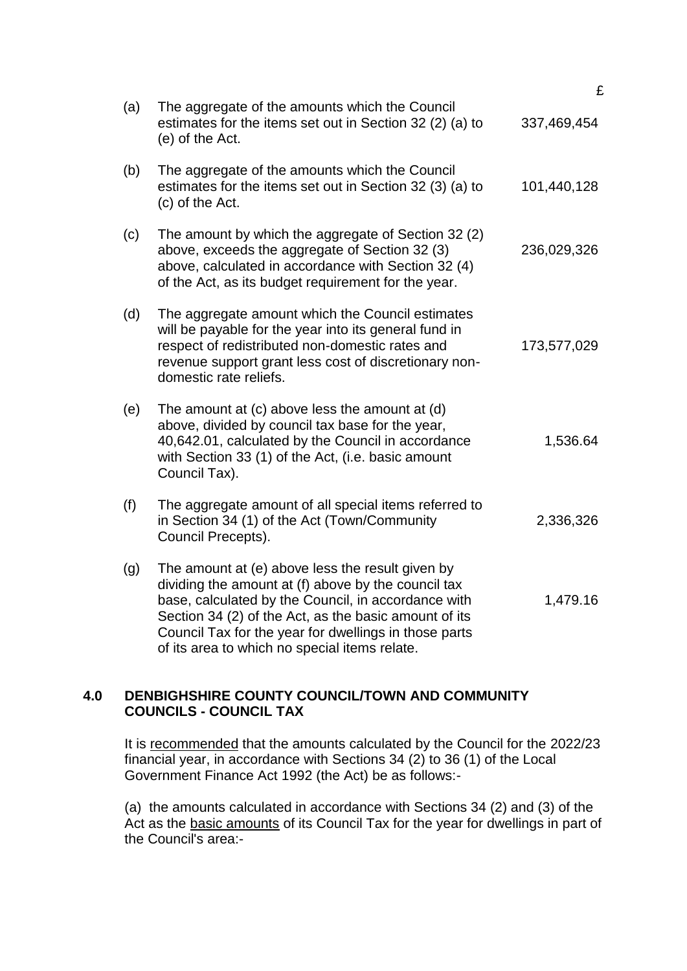|     |                                                                                                                                                                                                                                                                                                                                   | £           |
|-----|-----------------------------------------------------------------------------------------------------------------------------------------------------------------------------------------------------------------------------------------------------------------------------------------------------------------------------------|-------------|
| (a) | The aggregate of the amounts which the Council<br>estimates for the items set out in Section 32 (2) (a) to<br>(e) of the Act.                                                                                                                                                                                                     | 337,469,454 |
| (b) | The aggregate of the amounts which the Council<br>estimates for the items set out in Section 32 (3) (a) to<br>(c) of the Act.                                                                                                                                                                                                     | 101,440,128 |
| (c) | The amount by which the aggregate of Section 32 (2)<br>above, exceeds the aggregate of Section 32 (3)<br>above, calculated in accordance with Section 32 (4)<br>of the Act, as its budget requirement for the year.                                                                                                               | 236,029,326 |
| (d) | The aggregate amount which the Council estimates<br>will be payable for the year into its general fund in<br>respect of redistributed non-domestic rates and<br>revenue support grant less cost of discretionary non-<br>domestic rate reliefs.                                                                                   | 173,577,029 |
| (e) | The amount at (c) above less the amount at (d)<br>above, divided by council tax base for the year,<br>40,642.01, calculated by the Council in accordance<br>with Section 33 (1) of the Act, (i.e. basic amount<br>Council Tax).                                                                                                   | 1,536.64    |
| (f) | The aggregate amount of all special items referred to<br>in Section 34 (1) of the Act (Town/Community<br>Council Precepts).                                                                                                                                                                                                       | 2,336,326   |
| (g) | The amount at (e) above less the result given by<br>dividing the amount at (f) above by the council tax<br>base, calculated by the Council, in accordance with<br>Section 34 (2) of the Act, as the basic amount of its<br>Council Tax for the year for dwellings in those parts<br>of its area to which no special items relate. | 1,479.16    |

# **4.0 DENBIGHSHIRE COUNTY COUNCIL/TOWN AND COMMUNITY COUNCILS - COUNCIL TAX**

It is recommended that the amounts calculated by the Council for the 2022/23 financial year, in accordance with Sections 34 (2) to 36 (1) of the Local Government Finance Act 1992 (the Act) be as follows:-

(a) the amounts calculated in accordance with Sections 34 (2) and (3) of the Act as the basic amounts of its Council Tax for the year for dwellings in part of the Council's area:-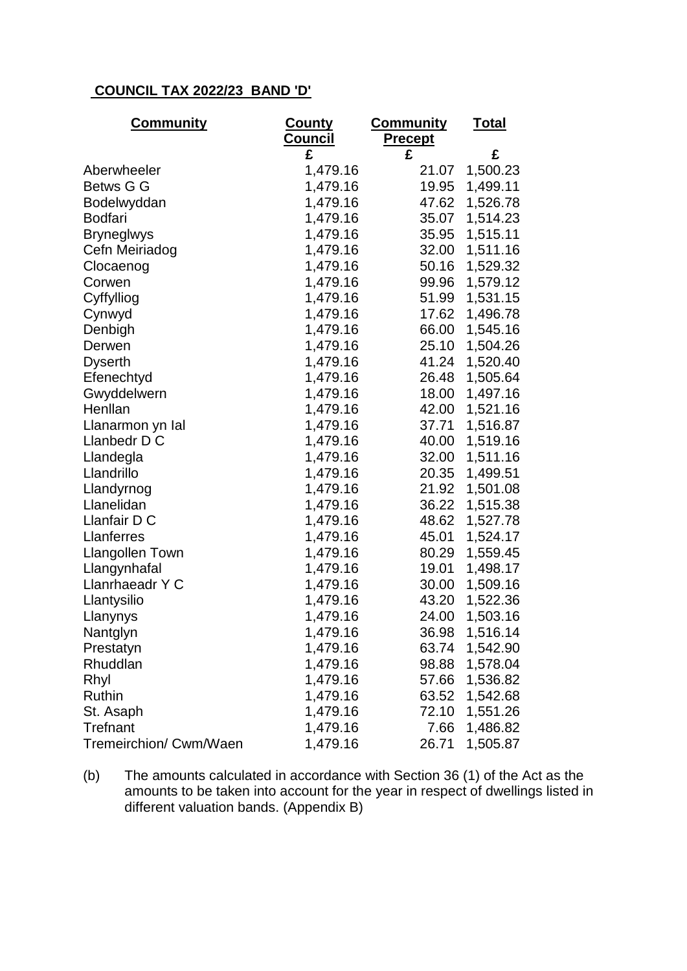# **COUNCIL TAX 2022/23 BAND 'D'**

| <u>Community</u>       | County                           | <u>Community</u> | <u>Total</u> |  |
|------------------------|----------------------------------|------------------|--------------|--|
|                        | <u>Council</u><br><b>Precept</b> |                  |              |  |
|                        | £                                | £                | £            |  |
| Aberwheeler            | 1,479.16                         | 21.07            | 1,500.23     |  |
| Betws G G              | 1,479.16                         | 19.95            | 1,499.11     |  |
| Bodelwyddan            | 1,479.16                         | 47.62            | 1,526.78     |  |
| <b>Bodfari</b>         | 1,479.16                         | 35.07            | 1,514.23     |  |
| <b>Bryneglwys</b>      | 1,479.16                         | 35.95            | 1,515.11     |  |
| Cefn Meiriadog         | 1,479.16                         | 32.00            | 1,511.16     |  |
| Clocaenog              | 1,479.16                         | 50.16            | 1,529.32     |  |
| Corwen                 | 1,479.16                         | 99.96            | 1,579.12     |  |
| Cyffylliog             | 1,479.16                         | 51.99            | 1,531.15     |  |
| Cynwyd                 | 1,479.16                         | 17.62            | 1,496.78     |  |
| Denbigh                | 1,479.16                         | 66.00            | 1,545.16     |  |
| Derwen                 | 1,479.16                         | 25.10            | 1,504.26     |  |
| <b>Dyserth</b>         | 1,479.16                         | 41.24            | 1,520.40     |  |
| Efenechtyd             | 1,479.16                         | 26.48            | 1,505.64     |  |
| Gwyddelwern            | 1,479.16                         | 18.00            | 1,497.16     |  |
| Henllan                | 1,479.16                         | 42.00            | 1,521.16     |  |
| Llanarmon yn Ial       | 1,479.16                         | 37.71            | 1,516.87     |  |
| Llanbedr D C           | 1,479.16                         | 40.00            | 1,519.16     |  |
| Llandegla              | 1,479.16                         | 32.00            | 1,511.16     |  |
| Llandrillo             | 1,479.16                         | 20.35            | 1,499.51     |  |
| Llandyrnog             | 1,479.16                         | 21.92            | 1,501.08     |  |
| Llanelidan             | 1,479.16                         | 36.22            | 1,515.38     |  |
| Llanfair D C           | 1,479.16                         | 48.62            | 1,527.78     |  |
| Llanferres             | 1,479.16                         | 45.01            | 1,524.17     |  |
| <b>Llangollen Town</b> | 1,479.16                         | 80.29            | 1,559.45     |  |
| Llangynhafal           | 1,479.16                         | 19.01            | 1,498.17     |  |
| Llanrhaeadr Y C        | 1,479.16                         | 30.00            | 1,509.16     |  |
| Llantysilio            | 1,479.16                         | 43.20            | 1,522.36     |  |
| Llanynys               | 1,479.16                         | 24.00            | 1,503.16     |  |
| Nantglyn               | 1,479.16                         | 36.98            | 1,516.14     |  |
| Prestatyn              | 1,479.16                         | 63.74            | 1,542.90     |  |
| Rhuddlan               | 1,479.16                         | 98.88            | 1,578.04     |  |
| Rhyl                   | 1,479.16                         | 57.66            | 1,536.82     |  |
| Ruthin                 | 1,479.16                         | 63.52            | 1,542.68     |  |
| St. Asaph              | 1,479.16                         | 72.10            | 1,551.26     |  |
| <b>Trefnant</b>        | 1,479.16                         | 7.66             | 1,486.82     |  |
| Tremeirchion/ Cwm/Waen | 1,479.16                         | 26.71            | 1,505.87     |  |

(b) The amounts calculated in accordance with Section 36 (1) of the Act as the amounts to be taken into account for the year in respect of dwellings listed in different valuation bands. (Appendix B)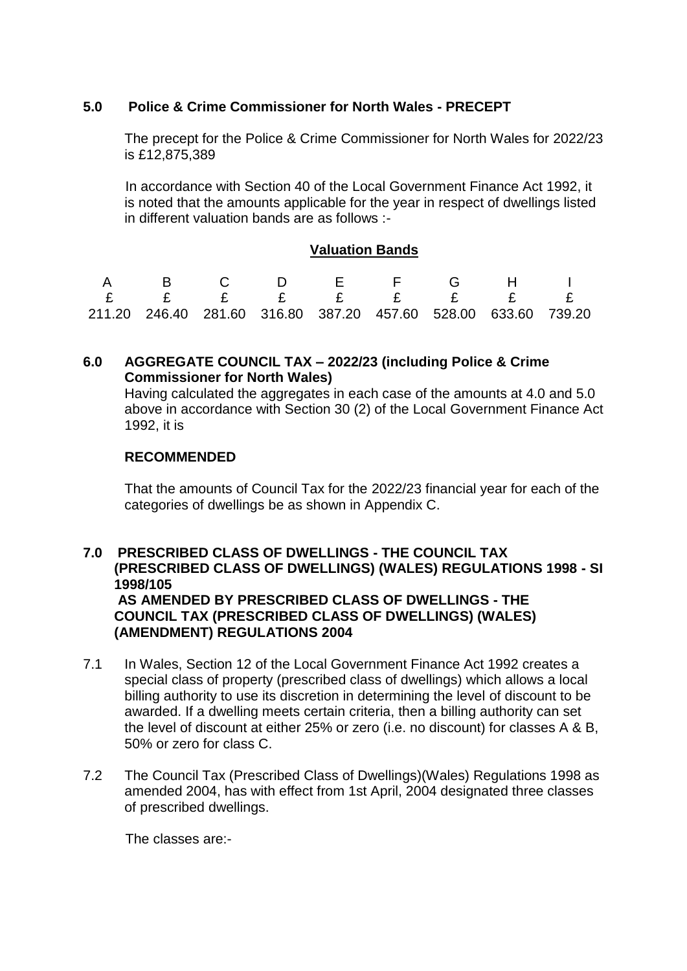# **5.0 Police & Crime Commissioner for North Wales - PRECEPT**

The precept for the Police & Crime Commissioner for North Wales for 2022/23 is £12,875,389

 In accordance with Section 40 of the Local Government Finance Act 1992, it is noted that the amounts applicable for the year in respect of dwellings listed in different valuation bands are as follows :-

## **Valuation Bands**

| A B C D F F G H I                                                      |  |  |  |  |
|------------------------------------------------------------------------|--|--|--|--|
| E E E E E E E E                                                        |  |  |  |  |
| 211.20  246.40  281.60  316.80  387.20  457.60  528.00  633.60  739.20 |  |  |  |  |

# **6.0 AGGREGATE COUNCIL TAX – 2022/23 (including Police & Crime Commissioner for North Wales)**

Having calculated the aggregates in each case of the amounts at 4.0 and 5.0 above in accordance with Section 30 (2) of the Local Government Finance Act 1992, it is

## **RECOMMENDED**

That the amounts of Council Tax for the 2022/23 financial year for each of the categories of dwellings be as shown in Appendix C.

# **7.0 PRESCRIBED CLASS OF DWELLINGS - THE COUNCIL TAX (PRESCRIBED CLASS OF DWELLINGS) (WALES) REGULATIONS 1998 - SI 1998/105 AS AMENDED BY PRESCRIBED CLASS OF DWELLINGS - THE COUNCIL TAX (PRESCRIBED CLASS OF DWELLINGS) (WALES) (AMENDMENT) REGULATIONS 2004**

- 7.1 In Wales, Section 12 of the Local Government Finance Act 1992 creates a special class of property (prescribed class of dwellings) which allows a local billing authority to use its discretion in determining the level of discount to be awarded. If a dwelling meets certain criteria, then a billing authority can set the level of discount at either 25% or zero (i.e. no discount) for classes A & B, 50% or zero for class C.
- 7.2 The Council Tax (Prescribed Class of Dwellings)(Wales) Regulations 1998 as amended 2004, has with effect from 1st April, 2004 designated three classes of prescribed dwellings.

The classes are:-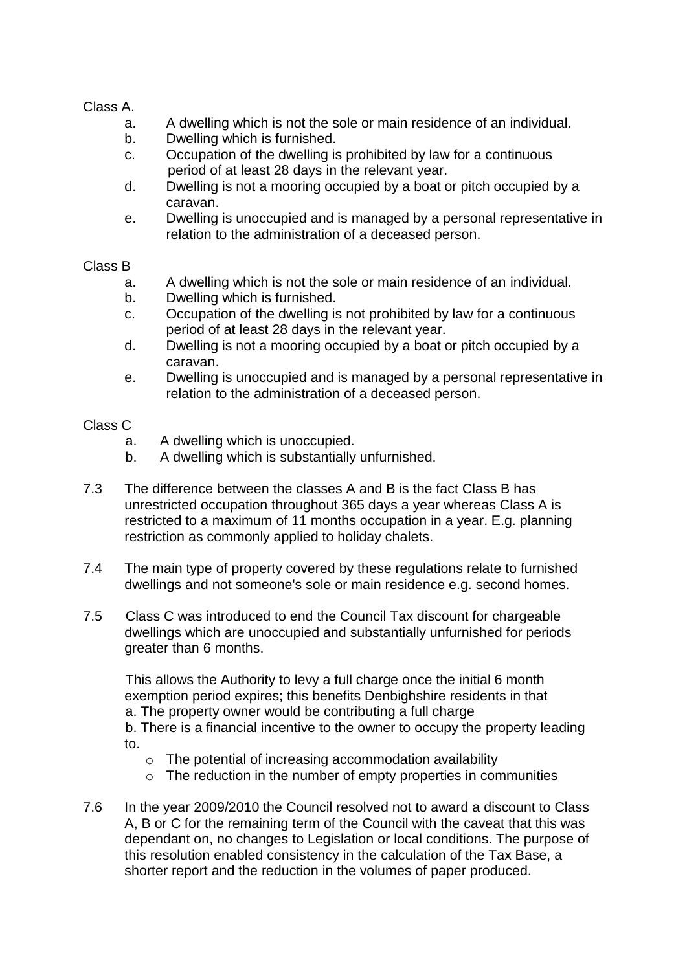Class A.

- a. A dwelling which is not the sole or main residence of an individual.
- b. Dwelling which is furnished.
- c. Occupation of the dwelling is prohibited by law for a continuous period of at least 28 days in the relevant year.
- d. Dwelling is not a mooring occupied by a boat or pitch occupied by a caravan.
- e. Dwelling is unoccupied and is managed by a personal representative in relation to the administration of a deceased person.

#### Class B

- a. A dwelling which is not the sole or main residence of an individual.
- b. Dwelling which is furnished.
- c. Occupation of the dwelling is not prohibited by law for a continuous period of at least 28 days in the relevant year.
- d. Dwelling is not a mooring occupied by a boat or pitch occupied by a caravan.
- e. Dwelling is unoccupied and is managed by a personal representative in relation to the administration of a deceased person.

## Class C

- a. A dwelling which is unoccupied.
- b. A dwelling which is substantially unfurnished.
- 7.3 The difference between the classes A and B is the fact Class B has unrestricted occupation throughout 365 days a year whereas Class A is restricted to a maximum of 11 months occupation in a year. E.g. planning restriction as commonly applied to holiday chalets.
- 7.4 The main type of property covered by these regulations relate to furnished dwellings and not someone's sole or main residence e.g. second homes.
- 7.5 Class C was introduced to end the Council Tax discount for chargeable dwellings which are unoccupied and substantially unfurnished for periods greater than 6 months.

 This allows the Authority to levy a full charge once the initial 6 month exemption period expires; this benefits Denbighshire residents in that a. The property owner would be contributing a full charge b. There is a financial incentive to the owner to occupy the property leading to.

- o The potential of increasing accommodation availability
- o The reduction in the number of empty properties in communities
- 7.6 In the year 2009/2010 the Council resolved not to award a discount to Class A, B or C for the remaining term of the Council with the caveat that this was dependant on, no changes to Legislation or local conditions. The purpose of this resolution enabled consistency in the calculation of the Tax Base, a shorter report and the reduction in the volumes of paper produced.